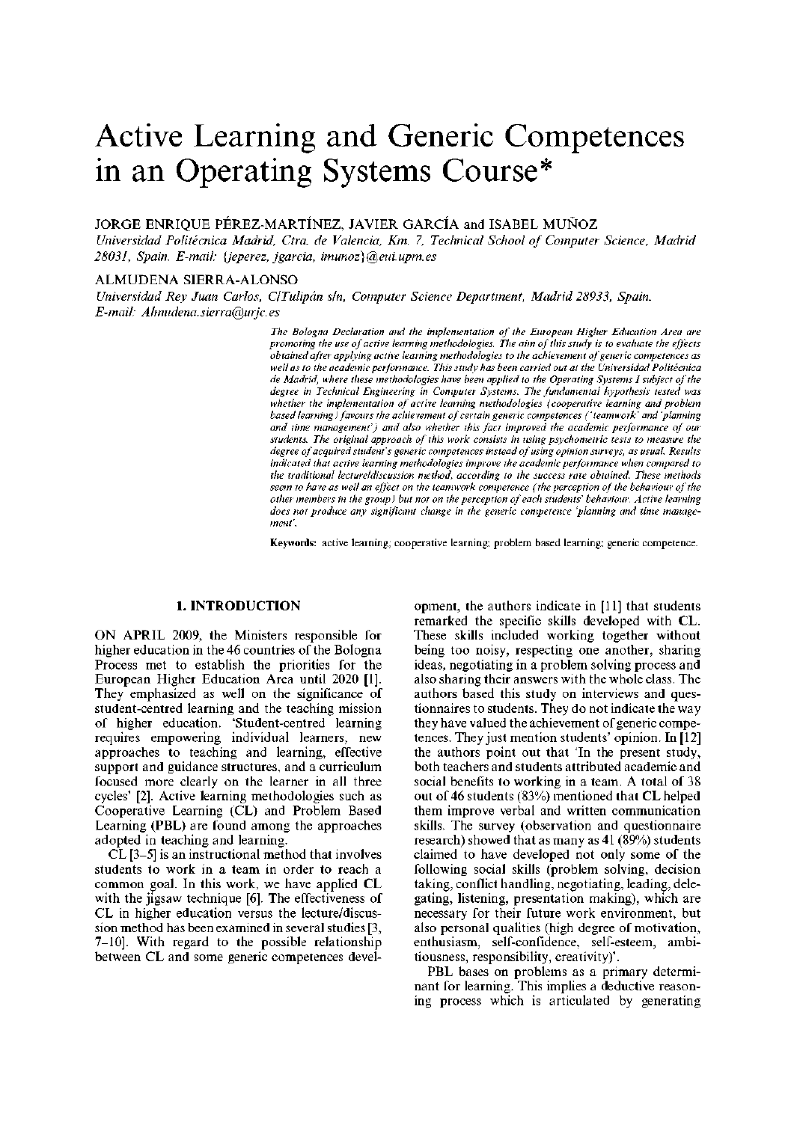# Active Learning and Generic Competences in an Operating Systems Course\*

## JORGE ENRIQUE PÉREZ-MARTÍNEZ, JAVIER GARCÍA and ISABEL MUÑOZ

*Universidad Politécnica Madrid, Ctra. de Valencia, Km. 7, Technical School of Computer Science, Madrid 28031, Spain. E-mail: {jeperez, jgarcia, imunoz}@eui.upm.es* 

#### ALMUDENA SIERRA-ALONSO

*Universidad Rey Juan Carlos, ClTulipan sin, Computer Science Department, Madrid 28933, Spain. E-mail: A Imudena. sierra@urjc. es* 

> *The Bologna Declaration and the implementation of the European Higher Education Area are promoting the use of active learning methodologies. The aim of this study is to evaluate the effects obtained after applying active learning methodologies to the achievement of generic competences as well as to the academic performance. This study has been carried out at the Universidad Politécnica de Madrid, where these methodologies have been applied to the Operating Systems I subject of the degree in Technical Engineering in Computer Systems. The fundamental hypothesis tested was whether the implementation of active learning methodologies (cooperative learning and problem based learning) favours the achievement of certain generic competences ('teamwork' and 'planning and time management') and also whether this fact improved the academic performance of our students. The original approach of this work consists in using psychometric tests to measure the degree of acquired student's generic competences instead of using opinion surveys, as usual. Results indicated that active learning methodologies improve the academic performance when compared to the traditional lecture/discussion method, according to the success rate obtained. These methods seem to have as well an effect on the teamwork competence (the perception of the behaviour of the other members in the group) but not on the perception of each students' behaviour. Active learning does not produce any significant change in the generic competence 'planning and time management'.*

> **Keywords:** active learning; cooperative learning; problem based learning; generic competence.

### **1. INTRODUCTION**

ON APRIL 2009, the Ministers responsible for higher education in the 46 countries of the Bologna Process met to establish the priorities for the European Higher Education Area until 2020 [1]. They emphasized as well on the significance of student-centred learning and the teaching mission of higher education. 'Student-centred learning requires empowering individual learners, new approaches to teaching and learning, effective support and guidance structures, and a curriculum focused more clearly on the learner in all three cycles' [2]. Active learning methodologies such as Cooperative Learning (CL) and Problem Based Learning (PBL) are found among the approaches adopted in teaching and learning.

CL [3-5] is an instructional method that involves students to work in a team in order to reach a common goal. In this work, we have applied CL with the jigsaw technique [6]. The effectiveness of CL in higher education versus the lecture/discussion method has been examined in several studies [3, 7-10]. With regard to the possible relationship between CL and some generic competences development, the authors indicate in [11] that students remarked the specific skills developed with CL. These skills included working together without being too noisy, respecting one another, sharing ideas, negotiating in a problem solving process and also sharing their answers with the whole class. The authors based this study on interviews and questionnaires to students. They do not indicate the way they have valued the achievement of generic competences. They just mention students' opinion. In [12] the authors point out that 'In the present study, both teachers and students attributed academic and social benefits to working in a team. A total of 38 out of 46 students (83%) mentioned that CL helped them improve verbal and written communication skills. The survey (observation and questionnaire research) showed that as many as 41 (89%) students claimed to have developed not only some of the following social skills (problem solving, decision taking, conflict handling, negotiating, leading, delegating, listening, presentation making), which are necessary for their future work environment, but also personal qualities (high degree of motivation, enthusiasm, self-confidence, self-esteem, ambitiousness, responsibility, creativity)'.

PBL bases on problems as a primary determinant for learning. This implies a deductive reasoning process which is articulated by generating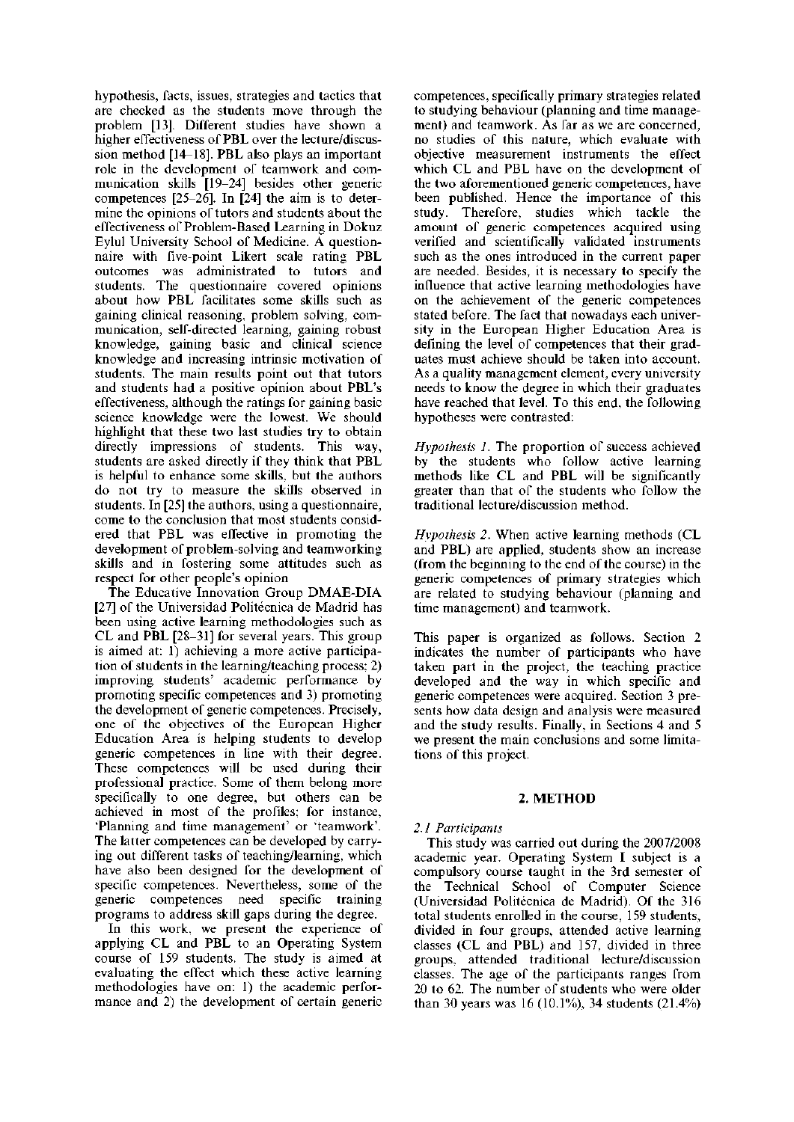hypothesis, facts, issues, strategies and tactics that are checked as the students move through the problem [13]. Different studies have shown a higher effectiveness of PBL over the lecture/discussion method [14-18]. PBL also plays an important role in the development of teamwork and communication skills [19-24] besides other generic competences [25-26]. In [24] the aim is to determine the opinions of tutors and students about the effectiveness of Problem-Based Learning in Dokuz Eylul University School of Medicine. A questionnaire with five-point Likert scale rating PBL outcomes was administrated to tutors and students. The questionnaire covered opinions about how PBL facilitates some skills such as gaining clinical reasoning, problem solving, communication, self-directed learning, gaining robust knowledge, gaining basic and clinical science knowledge and increasing intrinsic motivation of students. The main results point out that tutors and students had a positive opinion about PBL's effectiveness, although the ratings for gaining basic science knowledge were the lowest. We should highlight that these two last studies try to obtain directly impressions of students. This way, students are asked directly if they think that PBL is helpful to enhance some skills, but the authors do not try to measure the skills observed in students. In [25] the authors, using a questionnaire, come to the conclusion that most students considered that PBL was effective in promoting the development of problem-solving and teamworking skills and in fostering some attitudes such as respect for other people's opinion

The Educative Innovation Group DMAE-DIA [27] of the Universidad Politécnica de Madrid has been using active learning methodologies such as CL and PBL [28-31] for several years. This group is aimed at: 1) achieving a more active participation of students in the learning/teaching process; 2) improving students' academic performance by promoting specific competences and 3) promoting the development of generic competences. Precisely, one of the objectives of the European Higher Education Area is helping students to develop generic competences in line with their degree. These competences will be used during their professional practice. Some of them belong more specifically to one degree, but others can be achieved in most of the profiles; for instance, 'Planning and time management' or 'teamwork'. The latter competences can be developed by carrying out different tasks of teaching/learning, which have also been designed for the development of specific competences. Nevertheless, some of the generic competences need specific training programs to address skill gaps during the degree.

In this work, we present the experience of applying CL and PBL to an Operating System course of 159 students. The study is aimed at evaluating the effect which these active learning methodologies have on: 1) the academic performance and 2) the development of certain generic competences, specifically primary strategies related to studying behaviour (planning and time management) and teamwork. As far as we are concerned, no studies of this nature, which evaluate with objective measurement instruments the effect which CL and PBL have on the development of the two aforementioned generic competences, have been published. Hence the importance of this study. Therefore, studies which tackle the amount of generic competences acquired using verified and scientifically validated instruments such as the ones introduced in the current paper are needed. Besides, it is necessary to specify the influence that active learning methodologies have on the achievement of the generic competences stated before. The fact that nowadays each university in the European Higher Education Area is defining the level of competences that their graduates must achieve should be taken into account. As a quality management element, every university needs to know the degree in which their graduates have reached that level. To this end, the following hypotheses were contrasted:

*Hypothesis 1.* The proportion of success achieved by the students who follow active learning methods like CL and PBL will be significantly greater than that of the students who follow the traditional lecture/discussion method.

*Hypothesis 2.* When active learning methods (CL and PBL) are applied, students show an increase (from the beginning to the end of the course) in the generic competences of primary strategies which are related to studying behaviour (planning and time management) and teamwork.

This paper is organized as follows. Section 2 indicates the number of participants who have taken part in the project, the teaching practice developed and the way in which specific and generic competences were acquired. Section 3 presents how data design and analysis were measured and the study results. Finally, in Sections 4 and 5 we present the main conclusions and some limitations of this project.

# **2. METHOD**

# *2.1 Participants*

This study was carried out during the 2007/2008 academic year. Operating System I subject is a compulsory course taught in the 3rd semester of the Technical School of Computer Science (Universidad Politécnica de Madrid). Of the 316 total students enrolled in the course, 159 students, divided in four groups, attended active learning classes (CL and PBL) and 157, divided in three groups, attended traditional lecture/discussion classes. The age of the participants ranges from 20 to 62. The number of students who were older than 30 years was 16 (10.1%), 34 students (21.4%)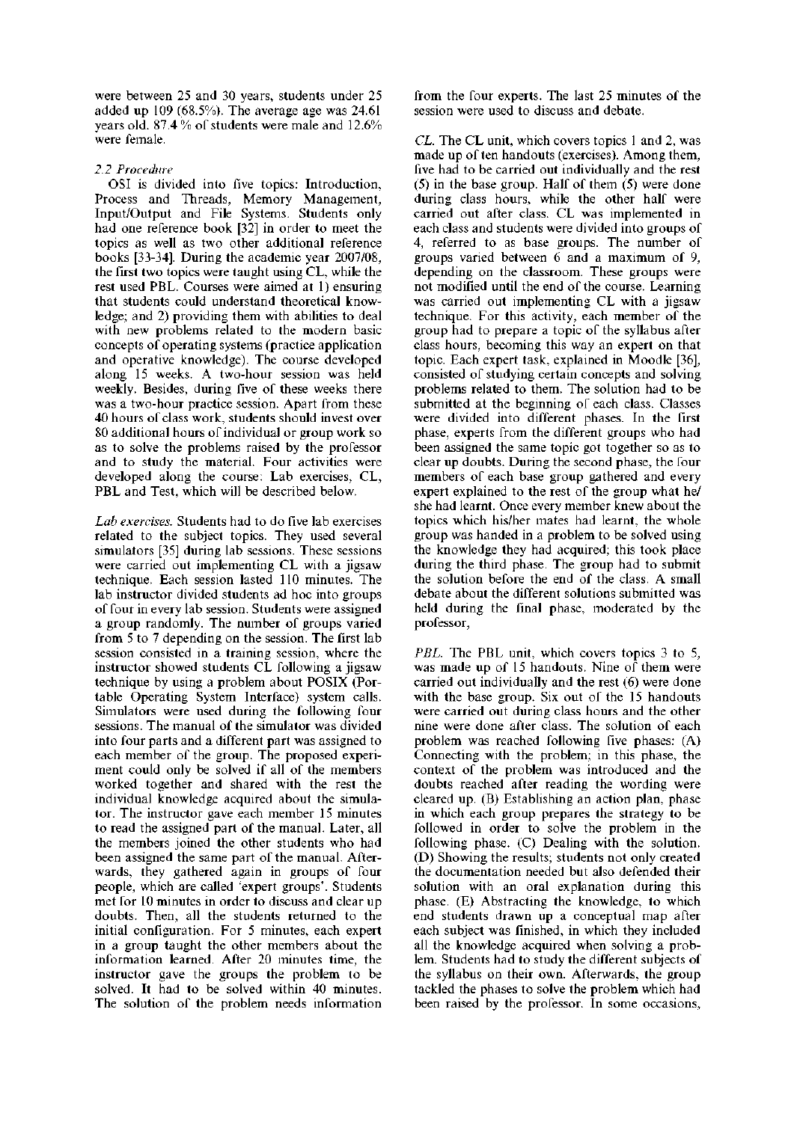were between 25 and 30 years, students under 25 added up 109 (68.5%). The average age was 24.61 years old. 87.4 % of students were male and 12.6% were female.

### *2.2 Procedure*

OSI is divided into five topics: Introduction, Process and Threads, Memory Management, Input/Output and File Systems. Students only had one reference book [32] in order to meet the topics as well as two other additional reference books [33-34]. During the academic year 2007/08, the first two topics were taught using CL, while the rest used PBL. Courses were aimed at 1) ensuring that students could understand theoretical knowledge; and 2) providing them with abilities to deal with new problems related to the modern basic concepts of operating systems (practice application and operative knowledge). The course developed along 15 weeks. A two-hour session was held weekly. Besides, during five of these weeks there was a two-hour practice session. Apart from these 40 hours of class work, students should invest over 80 additional hours of individual or group work so as to solve the problems raised by the professor and to study the material. Four activities were developed along the course: Lab exercises, CL, PBL and Test, which will be described below.

*Lab exercises.* Students had to do five lab exercises related to the subject topics. They used several simulators [35] during lab sessions. These sessions were carried out implementing CL with a jigsaw technique. Each session lasted 110 minutes. The lab instructor divided students ad hoc into groups of four in every lab session. Students were assigned a group randomly. The number of groups varied from 5 to 7 depending on the session. The first lab session consisted in a training session, where the instructor showed students CL following a jigsaw technique by using a problem about POSIX (Portable Operating System Interface) system calls. Simulators were used during the following four sessions. The manual of the simulator was divided into four parts and a different part was assigned to each member of the group. The proposed experiment could only be solved if all of the members worked together and shared with the rest the individual knowledge acquired about the simulator. The instructor gave each member 15 minutes to read the assigned part of the manual. Later, all the members joined the other students who had been assigned the same part of the manual. Afterwards, they gathered again in groups of four people, which are called 'expert groups'. Students met for 10 minutes in order to discuss and clear up doubts. Then, all the students returned to the initial configuration. For 5 minutes, each expert in a group taught the other members about the information learned. After 20 minutes time, the instructor gave the groups the problem to be solved. It had to be solved within 40 minutes. The solution of the problem needs information

from the four experts. The last 25 minutes of the session were used to discuss and debate.

*CL.* The CL unit, which covers topics 1 and 2, was made up of ten handouts (exercises). Among them, five had to be carried out individually and the rest (5) in the base group. Half of them (5) were done during class hours, while the other half were carried out after class. CL was implemented in each class and students were divided into groups of 4, referred to as base groups. The number of groups varied between 6 and a maximum of 9, depending on the classroom. These groups were not modified until the end of the course. Learning was carried out implementing CL with a jigsaw technique. For this activity, each member of the group had to prepare a topic of the syllabus after class hours, becoming this way an expert on that topic. Each expert task, explained in Moodle [36], consisted of studying certain concepts and solving problems related to them. The solution had to be submitted at the beginning of each class. Classes were divided into different phases. In the first phase, experts from the different groups who had been assigned the same topic got together so as to clear up doubts. During the second phase, the four members of each base group gathered and every expert explained to the rest of the group what he/ she had learnt. Once every member knew about the topics which his/her mates had learnt, the whole group was handed in a problem to be solved using the knowledge they had acquired; this took place during the third phase. The group had to submit the solution before the end of the class. A small debate about the different solutions submitted was held during the final phase, moderated by the professor,

*PBL.* The PBL unit, which covers topics 3 to 5, was made up of 15 handouts. Nine of them were carried out individually and the rest (6) were done with the base group. Six out of the 15 handouts were carried out during class hours and the other nine were done after class. The solution of each problem was reached following five phases: (A) Connecting with the problem; in this phase, the context of the problem was introduced and the doubts reached after reading the wording were cleared up. (B) Establishing an action plan, phase in which each group prepares the strategy to be followed in order to solve the problem in the following phase. (C) Dealing with the solution. (D) Showing the results; students not only created the documentation needed but also defended their solution with an oral explanation during this phase. (E) Abstracting the knowledge, to which end students drawn up a conceptual map after each subject was finished, in which they included all the knowledge acquired when solving a problem. Students had to study the different subjects of the syllabus on their own. Afterwards, the group tackled the phases to solve the problem which had been raised by the professor. In some occasions,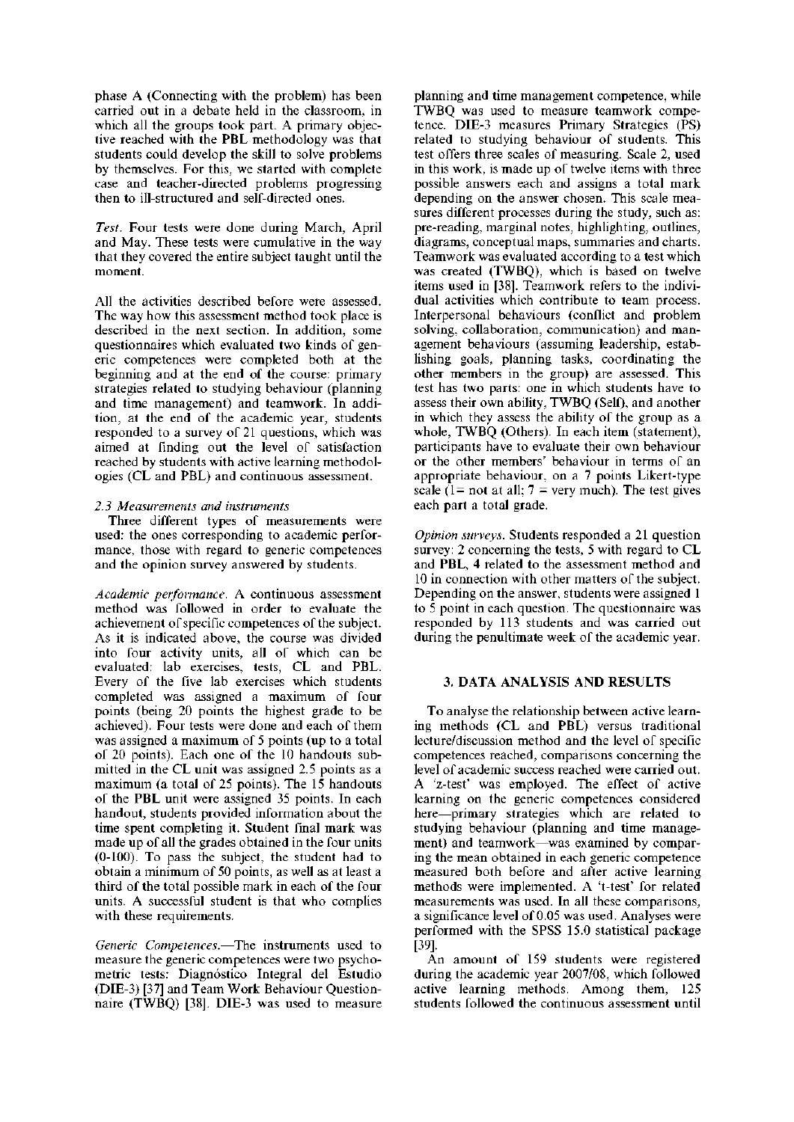phase A (Connecting with the problem) has been carried out in a debate held in the classroom, in which all the groups took part. A primary objective reached with the PBL methodology was that students could develop the skill to solve problems by themselves. For this, we started with complete case and teacher-directed problems progressing then to ill-structured and self-directed ones.

*Test.* Four tests were done during March, April and May. These tests were cumulative in the way that they covered the entire subject taught until the moment.

All the activities described before were assessed. The way how this assessment method took place is described in the next section. In addition, some questionnaires which evaluated two kinds of generic competences were completed both at the beginning and at the end of the course: primary strategies related to studying behaviour (planning and time management) and teamwork. In addition, at the end of the academic year, students responded to a survey of 21 questions, which was aimed at finding out the level of satisfaction reached by students with active learning methodologies (CL and PBL) and continuous assessment.

#### *2.3 Measurements and instruments*

Three different types of measurements were used: the ones corresponding to academic performance, those with regard to generic competences and the opinion survey answered by students.

*Academic performance.* A continuous assessment method was followed in order to evaluate the achievement of specific competences of the subject. As it is indicated above, the course was divided into four activity units, all of which can be evaluated: lab exercises, tests, CL and PBL. Every of the five lab exercises which students completed was assigned a maximum of four points (being 20 points the highest grade to be achieved). Four tests were done and each of them was assigned a maximum of 5 points (up to a total of 20 points). Each one of the 10 handouts submitted in the CL unit was assigned 2.5 points as a maximum (a total of 25 points). The 15 handouts of the PBL unit were assigned 35 points. In each handout, students provided information about the time spent completing it. Student final mark was made up of all the grades obtained in the four units (0-100). To pass the subject, the student had to obtain a minimum of 50 points, as well as at least a third of the total possible mark in each of the four units. A successful student is that who complies with these requirements.

*Generic Competences.*—The instruments used to measure the generic competences were two psychometric tests: Diagnóstico Integral del Estudio (DIE-3) [37] and Team Work Behaviour Questionnaire (TWBQ) [38]. DIE-3 was used to measure planning and time management competence, while TWBQ was used to measure teamwork competence. DIE-3 measures Primary Strategies (PS) related to studying behaviour of students. This test offers three scales of measuring. Scale 2, used in this work, is made up of twelve items with three possible answers each and assigns a total mark depending on the answer chosen. This scale measures different processes during the study, such as: pre-reading, marginal notes, highlighting, outlines, diagrams, conceptual maps, summaries and charts. Teamwork was evaluated according to a test which was created (TWBQ), which is based on twelve items used in [38]. Teamwork refers to the individual activities which contribute to team process. Interpersonal behaviours (conflict and problem solving, collaboration, communication) and management behaviours (assuming leadership, establishing goals, planning tasks, coordinating the other members in the group) are assessed. This test has two parts: one in which students have to assess their own ability, TWBQ (Self), and another in which they assess the ability of the group as a whole, TWBQ (Others). In each item (statement), participants have to evaluate their own behaviour or the other members' behaviour in terms of an appropriate behaviour, on a 7 points Likert-type scale (1= not at all;  $7$  = very much). The test gives each part a total grade.

*Opinion surveys.* Students responded a 21 question survey: 2 concerning the tests, 5 with regard to CL and PBL, 4 related to the assessment method and 10 in connection with other matters of the subject. Depending on the answer, students were assigned 1 to 5 point in each question. The questionnaire was responded by 113 students and was carried out during the penultimate week of the academic year.

## **3. DATA ANALYSIS AND RESULTS**

To analyse the relationship between active learning methods (CL and PBL) versus traditional lecture/discussion method and the level of specific competences reached, comparisons concerning the level of academic success reached were carried out. A 'z-test' was employed. The effect of active learning on the generic competences considered here—primary strategies which are related to studying behaviour (planning and time management) and teamwork—was examined by comparing the mean obtained in each generic competence measured both before and after active learning methods were implemented. A 't-test' for related measurements was used. In all these comparisons, a significance level of 0.05 was used. Analyses were performed with the SPSS 15.0 statistical package [39].

An amount of 159 students were registered during the academic year 2007/08, which followed active learning methods. Among them, 125 students followed the continuous assessment until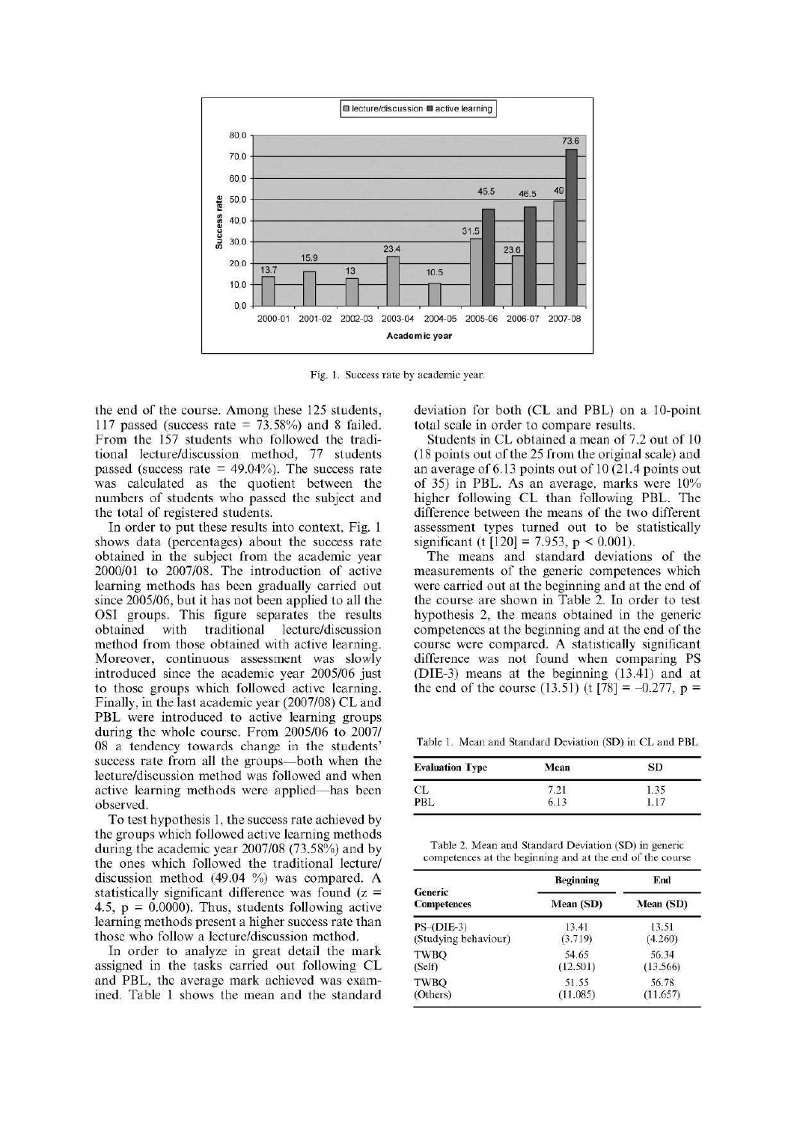

Fig. 1. Success rate by academic year.

the end of the course. Among these 125 students, 117 passed (success rate =  $73.58\%$ ) and 8 failed. From the 157 students who followed the traditional lecture/discussion method, 77 students passed (success rate  $= 49.04\%$ ). The success rate was calculated as the quotient between the numbers of students who passed the subject and the total of registered students.

In order to put these results into context, Fig. 1 shows data (percentages) about the success rate obtained in the subject from the academic year 2000/01 to 2007/08. The introduction of active learning methods has been gradually carried out since 2005/06, but it has not been applied to all the OSI groups. This figure separates the results obtained with traditional lecture/discussion method from those obtained with active learning. Moreover, continuous assessment was slowly introduced since the academic year 2005/06 just to those groups which followed active learning. Finally, in the last academic year (2007/08) CL and PBL were introduced to active learning groups during the whole course. From 2005/06 to 2007/ 08 a tendency towards change in the students' success rate from all the groups—both when the lecture/discussion method was followed and when active learning methods were applied—has been observed.

To test hypothesis 1, the success rate achieved by the groups which followed active learning methods during the academic year 2007/08 (73.58%) and by the ones which followed the traditional lecture/ discussion method (49.04 %) was compared. A statistically significant difference was found  $(z =$ 4.5,  $p = 0.0000$ . Thus, students following active learning methods present a higher success rate than those who follow a lecture/discussion method.

In order to analyze in great detail the mark assigned in the tasks carried out following CL and PBL, the average mark achieved was examined. Table 1 shows the mean and the standard

deviation for both (CL and PBL) on a 10-point total scale in order to compare results.

Students in CL obtained a mean of 7.2 out of 10 (18 points out of the 25 from the original scale) and an average of 6.13 points out of 10 (21.4 points out of 35) in PBL. As an average, marks were 10% higher following CL than following PBL. The difference between the means of the two different assessment types turned out to be statistically significant (t  $[120] = 7.953$ , p < 0.001).

The means and standard deviations of the measurements of the generic competences which were carried out at the beginning and at the end of the course are shown in Table 2. In order to test hypothesis 2, the means obtained in the generic competences at the beginning and at the end of the course were compared. A statistically significant difference was not found when comparing PS (DIE-3) means at the beginning (13.41) and at the end of the course (13.51) (t [78] =  $-0.277$ , p =

Table 1. Mean and Standard Deviation (SD) in CL and PBL

| <b>Evaluation Type</b> | Mean | SD   |
|------------------------|------|------|
| CL                     |      | 1.35 |
| PBL                    | 6.13 |      |

Table 2. Mean and Standard Deviation (SD) in generic competences at the beginning and at the end of the course

|                               | <b>Beginning</b> | End       |  |
|-------------------------------|------------------|-----------|--|
| Generic<br><b>Competences</b> | Mean (SD)        | Mean (SD) |  |
| $PS$ -(DIE-3)                 | 13.41            | 13.51     |  |
| (Studying behaviour)          | (3.719)          | (4.260)   |  |
| <b>TWBO</b>                   | 54.65            | 56.34     |  |
| (Self)                        | (12.501)         | (13.566)  |  |
| TWBO                          | 51.55            | 56.78     |  |
| (Others)                      | (11.085)         | (11.657)  |  |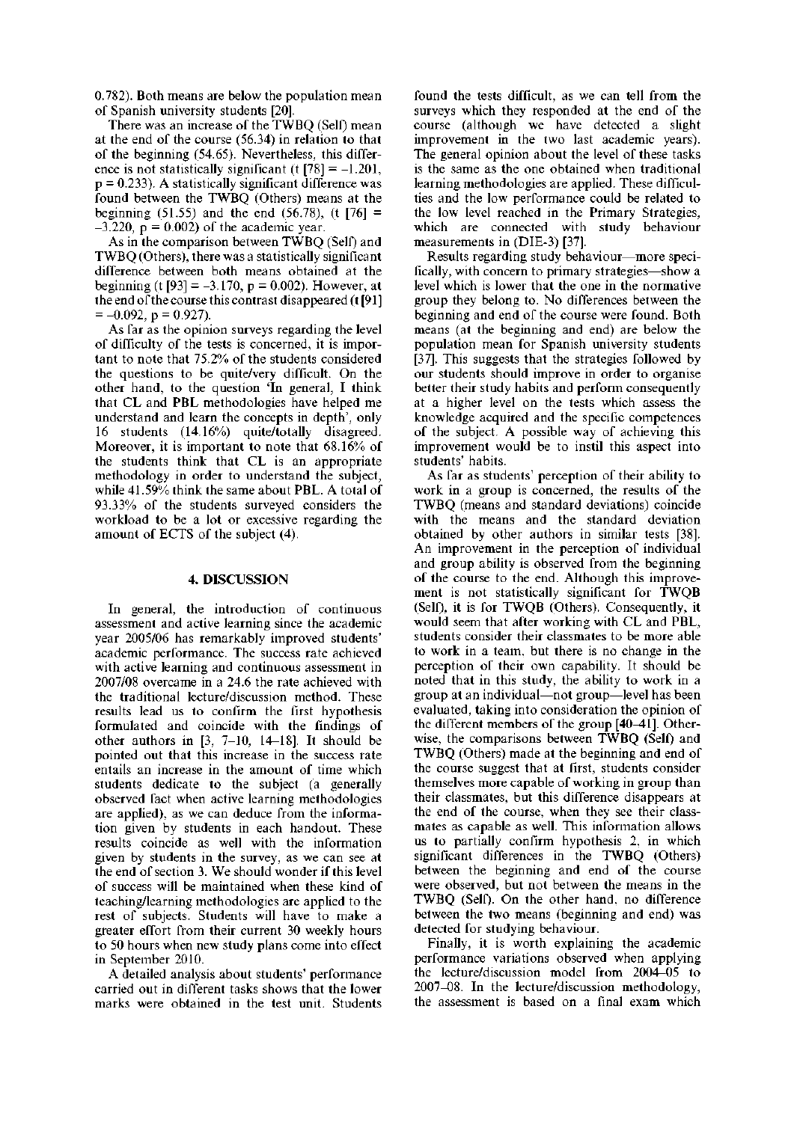0.782). Both means are below the population mean of Spanish university students [20].

There was an increase of the TWBQ (Self) mean at the end of the course (56.34) in relation to that of the beginning (54.65). Nevertheless, this difference is not statistically significant (t  $[78] = -1.201$ ,  $p = 0.233$ ). A statistically significant difference was found between the TWBQ (Others) means at the beginning (51.55) and the end (56.78), (t  $[76] =$  $-3.220$ ,  $p = 0.002$ ) of the academic year.

As in the comparison between TWBQ (Self) and TWBQ (Others), there was a statistically significant difference between both means obtained at the beginning (t [93] =  $-3.170$ , p = 0.002). However, at the end of the course this contrast disappeared (t [91 ]  $=-0.092$ , p = 0.927).

As far as the opinion surveys regarding the level of difficulty of the tests is concerned, it is important to note that 75.2% of the students considered the questions to be quite/very difficult. On the other hand, to the question 'In general, I think that CL and PBL methodologies have helped me understand and learn the concepts in depth', only 16 students (14.16%) quite/totally disagreed. Moreover, it is important to note that 68.16% of the students think that CL is an appropriate methodology in order to understand the subject, while 41.59% think the same about PBL. A total of 93.33% of the students surveyed considers the workload to be a lot or excessive regarding the amount of ECTS of the subject **(4).** 

#### **4. DISCUSSION**

In general, the introduction of continuous assessment and active learning since the academic year 2005/06 has remarkably improved students' academic performance. The success rate achieved with active learning and continuous assessment in 2007/08 overcame in a 24.6 the rate achieved with the traditional lecture/discussion method. These results lead us to confirm the first hypothesis formulated and coincide with the findings of other authors in [3, 7-10, 14-18]. It should be pointed out that this increase in the success rate entails an increase in the amount of time which students dedicate to the subject (a generally observed fact when active learning methodologies are applied), as we can deduce from the information given by students in each handout. These results coincide as well with the information given by students in the survey, as we can see at the end of section 3. We should wonder if this level of success will be maintained when these kind of teaching/learning methodologies are applied to the rest of subjects. Students will have to make a greater effort from their current 30 weekly hours to 50 hours when new study plans come into effect in September 2010.

A detailed analysis about students' performance carried out in different tasks shows that the lower marks were obtained in the test unit. Students found the tests difficult, as we can tell from the surveys which they responded at the end of the course (although we have detected a slight improvement in the two last academic years). The general opinion about the level of these tasks is the same as the one obtained when traditional learning methodologies are applied. These difficulties and the low performance could be related to the low level reached in the Primary Strategies, which are connected with study behaviour measurements in (DIE-3) [37].

Results regarding study behaviour—more specifically, with concern to primary strategies—show a level which is lower that the one in the normative group they belong to. No differences between the beginning and end of the course were found. Both means (at the beginning and end) are below the population mean for Spanish university students [37]. This suggests that the strategies followed by our students should improve in order to organise better their study habits and perform consequently at a higher level on the tests which assess the knowledge acquired and the specific competences of the subject. A possible way of achieving this improvement would be to instil this aspect into students' habits.

As far as students' perception of their ability to work in a group is concerned, the results of the TWBQ (means and standard deviations) coincide with the means and the standard deviation obtained by other authors in similar tests [38]. An improvement in the perception of individual and group ability is observed from the beginning of the course to the end. Although this improvement is not statistically significant for TWQB (Self), it is for TWQB (Others). Consequently, it would seem that after working with CL and PBL, students consider their classmates to be more able to work in a team, but there is no change in the perception of their own capability. It should be noted that in this study, the ability to work in a group at an individual—not group—level has been evaluated, taking into consideration the opinion of the different members of the group  $[40-41]$ . Otherwise, the comparisons between TWBQ (Self) and TWBQ (Others) made at the beginning and end of the course suggest that at first, students consider themselves more capable of working in group than their classmates, but this difference disappears at the end of the course, when they see their classmates as capable as well. This information allows us to partially confirm hypothesis 2, in which significant differences in the TWBQ (Others) between the beginning and end of the course were observed, but not between the means in the TWBQ (Self). On the other hand, no difference between the two means (beginning and end) was detected for studying behaviour.

Finally, it is worth explaining the academic performance variations observed when applying the lecture/discussion model from 2004-05 to 2007-08. In the lecture/discussion methodology, the assessment is based on a final exam which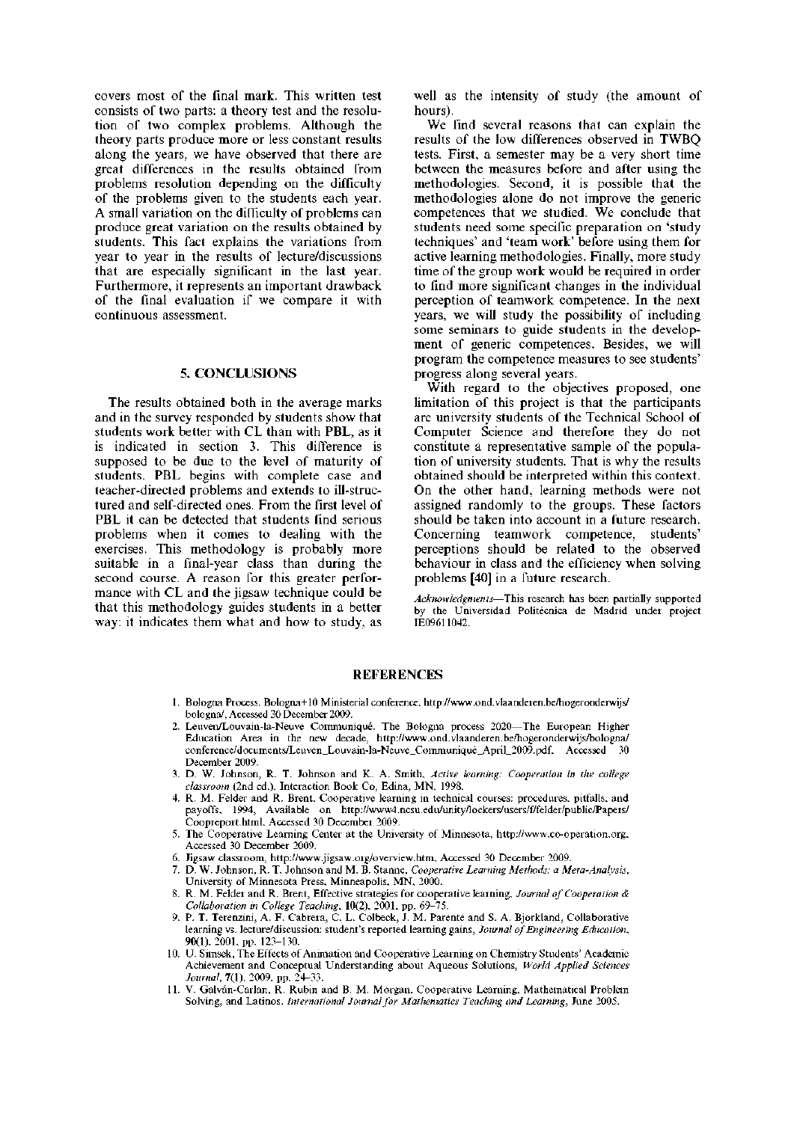covers most of the final mark. This written test consists of two parts: a theory test and the resolution of two complex problems. Although the theory parts produce more or less constant results along the years, we have observed that there are great differences in the results obtained from problems resolution depending on the difficulty of the problems given to the students each year. A small variation on the difficulty of problems can produce great variation on the results obtained by students. This fact explains the variations from year to year in the results of lecture/discussions that are especially significant in the last year. Furthermore, it represents an important drawback of the final evaluation if we compare it with continuous assessment.

#### **5. CONCLUSIONS**

The results obtained both in the average marks and in the survey responded by students show that students work better with CL than with PBL, as it is indicated in section 3. This difference is supposed to be due to the level of maturity of students. PBL begins with complete case and teacher-directed problems and extends to ill-structured and self-directed ones. From the first level of PBL it can be detected that students find serious problems when it comes to dealing with the exercises. This methodology is probably more suitable in a final-year class than during the second course. A reason for this greater performance with CL and the jigsaw technique could be that this methodology guides students in a better way: it indicates them what and how to study, as

well as the intensity of study (the amount of hours).

We find several reasons that can explain the results of the low differences observed in TWBQ tests. First, a semester may be a very short time between the measures before and after using the methodologies. Second, it is possible that the methodologies alone do not improve the generic competences that we studied. We conclude that students need some specific preparation on 'study techniques' and 'team work' before using them for active learning methodologies. Finally, more study time of the group work would be required in order to find more significant changes in the individual perception of teamwork competence. In the next years, we will study the possibility of including some seminars to guide students in the development of generic competences. Besides, we will program the competence measures to see students' progress along several years.

With regard to the objectives proposed, one limitation of this project is that the participants are university students of the Technical School of Computer Science and therefore they do not constitute a representative sample of the population of university students. That is why the results obtained should be interpreted within this context. On the other hand, learning methods were not assigned randomly to the groups. These factors should be taken into account in a future research. Concerning teamwork competence, students' perceptions should be related to the observed behaviour in class and the efficiency when solving problems [40] in a future research.

*Acknowledgments*—This research has been partially supported by the Universidad Politécnica de Madrid under project IE09611042.

#### **REFERENCES**

- 1. Bologna Process. Bologna+10 Ministerial conference, <http://www.ond.vlaanderen.be/hogeronderwijs/> bologna/, Accessed 30 December 2009.
- 2. Leuven/Louvain-la-Neuve Communique. The Bologna process 2020—The European Higher Education Area in the new decade, <http://www.ond.vlaanderen.be/hogeronderwijs/bologna/> conference/documents/Leuven\_Louvain-la-Neuve\_Communiqué\_April\_2009.pdf, Accessed 30 December 2009.
- 3. D. W. Johnson, R. T. Johnson and K. A. Smith, *Active learning: Cooperation in the college classroom* (2nd ed.), Interaction Book Co, Edina, MN, 1998.
- 4. R. M. Felder and R. Brent, Cooperative learning in technical courses: procedures, pitfalls, and payoffs, 1994, Available on http://www4.ncsu.edu/unity/lockers/users/f/felder/public/Papers/ Coopreport.html, Accessed 30 December 2009.
- 5. The Cooperative Learning Center at the University of Minnesota, [http://www.co-operation.org,](http://www.co-operation.org) Accessed 30 December 2009.
- 6. Jigsaw classroom, [http://www.jigsaw.org/overview.htm,](http://www.jigsaw.org/overview.htm) Accessed 30 December 2009.
- 7. D. W. Johnson, R. T. Johnson and M. B. Stanne, *Cooperative Learning Methods: a Meta-Analysis,*  University of Minnesota Press, Minneapolis, MN, 2000.
- 8. R. M. Felder and R. Brent, Effective strategies for cooperative learning, *Journal of Cooperation & Collaboration in College Teaching,* 10(2), 2001, pp. 69-75.
- 9. P. T. Terenzini, A. F. Cabrera, C. L. Colbeck, J. M. Párente and S. A. Bjorkland, Collaborative learning vs. lecture/discussion: student's reported learning gains, *Journal of Engineering Education,*  90(1), 2001, pp. 123-130.
- 10. U. Simsek, The Effects of Animation and Cooperative Learning on Chemistry Students' Academic Achievement and Conceptual Understanding about Aqueous Solutions, *World Applied Sciences Journal,* 7(1), 2009, pp. 24-33.
- 11. V. Galván-Carlan, R. Rubin and B. M. Morgan, Cooperative Learning, Mathematical Problem Solving, and Latinos. *International Journal for Mathematics Teaching and Learning,* June 2005.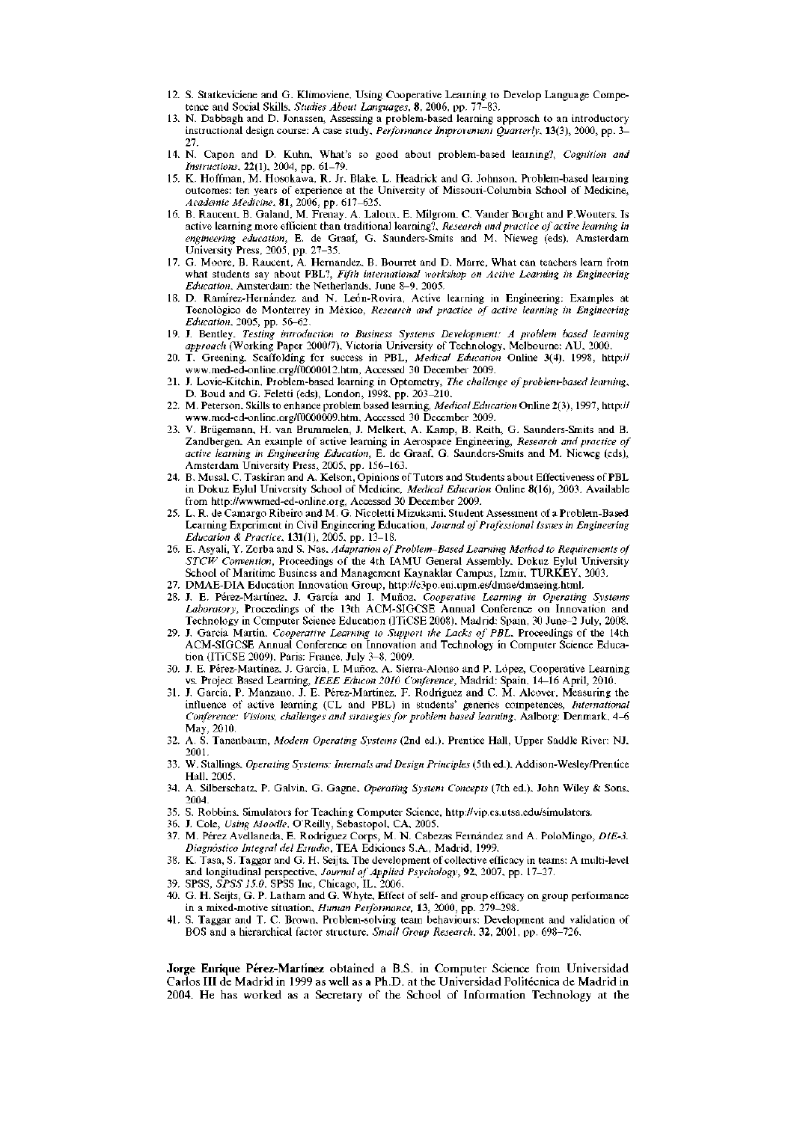- 12. S. Statkeviciene and G. Klimoviene, Using Cooperative Learning to Develop Language Competence and Social Skills, *Studies About Languages,* 8, 2006, pp. 77-83.
- 13. N. Dabbagh and D. Jonassen, Assessing a problem-based learning approach to an introductory instructional design course: A case study, *Performance Improvement Quarterly,* 13(3), 2000, pp. 3- 27.
- 14. N. Capon and D. Kuhn, What's so good about problem-based learning?, *Cognition and Instructions,* **22(1),** 2004, pp. 61-79.
- 15. K. Hoffman, M. Hosokawa, R. Jr. Blake, L. Headrick and G. Johnson, Problem-based learning outcomes: ten years of experience at the University of Missouri-Columbia School of Medicine, *Academic Medicine,* 81, 2006, pp. 617-625.
- 16. B. Raucent, B. Galand, M. Frenay, A. Laloux, E. Milgrom, C. Vander Borght and P.Wouters, Is active learning more efficient than traditional learning?, *Research and practice of active learning in engineering education,* E. de Graaf, G. Saunders-Smits and M. Nieweg (eds), Amsterdam University Press, 2005, pp. 27-35.
- 17. G. Moore, B. Raucent, A. Hernandez, B. Bourret and D. Marre, What can teachers learn from what students say about PBL?, *Fifth international workshop on Active Learning in Engineering Education,* Amsterdam: the Netherlands, June 8-9, 2005.
- 18. D. Ramírez-Hernández and N. León-Rovira, Active learning in Engineering: Examples at Tecnológico de Monterrey in México, *Research and practice of active learning in Engineering Education,* 2005, pp. 56-62.
- 19. J. Bentley, *Testing introduction to Business Systems Development: A problem based learning approach* (Working Paper 2000/7), Victoria University of Technology, Melbourne: AU, 2000.
- 20. T. Greening, Scaffolding for success in PBL, *Medical Education* Online 3(4), 1998, <http://> [www.med-ed-online.org/f0000012.htm,](http://www.med-ed-online.org/f0000012.htm) Accessed 30 December 2009.
- 21. J. Lovie-Kitchin, Problem-based learning in Optometry, *The challenge of problem-based learning,*  D. Boud and G. Feletti (eds), London, 1998, pp. 203-210.
- 22. M. Peterson, Skills to enhance problem based learning, *Medical Education* Online 2(3), 1997,<http://> [www.med-ed-online.org/f0000009.htm,](http://www.med-ed-online.org/f0000009.htm) Accessed 30 December 2009.
- 23. V. Briigemann, H. van Brummelen, J. Melkert, A. Kamp, B. Reith, G. Saunders-Smits and B. Zandbergen, An example of active learning in Aerospace Engineering, *Research and practice of active learning in Engineering Education,* E. de Graaf, G. Saunders-Smits and M. Nieweg (eds), Amsterdam University Press, 2005, pp. 156-163.
- 24. B. Musal, C. Taskiran and A. Kelson, Opinions of Tutors and Students about Effectiveness of PBL in Dokuz Eylul University School of Medicine, *Medical Education* Online 8(16), 2003, Available from [http://wwwmed-ed-online.org,](http://wwwmed-ed-online.org) Accessed 30 December 2009.
- 25. L. R. de Camargo Ribeiro and M. G. Nicoletti Mizukami, Student Assessment of a Problem-Based Learning Experiment in Civil Engineering Education, *Journal of Professional Issues in Engineering Education & Practice,* **131(1),** 2005, pp. 13-18.
- 26. E. Asyali, Y. Zorba and S. Nas, *Adaptation of Problem-Based Learning Method to Requirements of STCW Convention,* Proceedings of the 4th IAMU General Assembly, Dokuz Eylul University School of Maritime Business and Management Kaynaklar Campus, Izmir, TURKEY, 2003.
- 27. DMAE-DIA Education Innovation Group, [http://c3po.eui.upm.es/dmae/dmaeing.html.](http://c3po.eui.upm.es/dmae/dmaeing.html)
- 28. J. E. Pérez-Martínez, J. Garcia and I. Muñoz, *Cooperative Learning in Operating Systems Laboratory,* Proceedings of the 13th ACM-SIGCSE Annual Conference on Innovation and Technology in Computer Science Education (ITiCSE 2008), Madrid: Spain, 30 June-2 July, 2008.
- 29. J. Garcia Martin, *Cooperative Learning to Support the Lacks of PBL,* Proceedings of the 14th ACM-SIGCSE Annual Conference on Innovation and Technology in Computer Science Education (ITiCSE 2009), Paris: France, July 3-8, 2009.
- 30. J. E. Pérez-Martínez, J. García, I. Muñoz, A. Sierra-Alonso and P. López, Cooperative Learning vs. Project Based Learning, *IEEE Educon 2010 Conference,* Madrid: Spain, 14-16 April, 2010.
- 31. J. Garcia, P. Manzano, J. E. Pérez-Martínez, F. Rodriguez and C. M. Alcover, Measuring the influence of active learning (CL and PBL) in students' generics competences, *International Conference: Visions, challenges and strategies for problem based learning,* Aalborg: Denmark, 4-6 May, 2010.
- 32. A. S. Tanenbaum, *Modern Operating Systems* (2nd ed.), Prentice Hall, Upper Saddle River: NJ, 2001.
- 33. W. Stallings, *Operating Systems: Internals and Design Principles* (5th ed.), Addison-Wesley/Prentice Hall, 2005.
- 34. A. Silberschatz, P. Galvin, G. Gagne, *Operating System Concepts* (7th ed.), John Wiley & Sons, 2004.
- 35. S. Robbins, Simulators for Teaching Computer Science, [http://vip.cs.utsa.edu/simulators.](http://vip.cs.utsa.edu/simulators)
- 36. J. Cole, *Using Moodle,* O'Reilly, Sebastopol, CA, 2005.
- 37. M. Pérez Avellaneda, E. Rodríguez Corps, M. N. Cabezas Fernández and A. PoloMingo, *DIE-3. Diagnóstico Integral del Estudio,* TEA Ediciones S.A., Madrid, 1999.
- 38. K. Tasa, S. Taggar and G. H. Seijts, The development of collective efficacy in teams: A multi-level and longitudinal perspective, *Journal of Applied Psychology,* 92, 2007, pp. 17-27.
- 39. SPSS, *SPSS 15.0,* SPSS Inc, Chicago, IL, 2006.
- 40. G. H. Seijts, G. P. Latham and G. Whyte, Effect of self- and group efficacy on group performance in a mixed-motive situation, *Human Performance,* 13, 2000, pp. 279-298.
- 41. S. Taggar and T. C. Brown, Problem-solving team behaviours: Development and validation of BOS and a hierarchical factor structure, *Small Group Research,* 32, 2001, pp. 698-726.

**Jorge Enrique Pérez-Martínez** obtained a B.S. in Computer Science from Universidad Carlos III de Madrid in 1999 as well as a Ph.D. at the Universidad Politécnica de Madrid in 2004. He has worked as a Secretary of the School of Information Technology at the